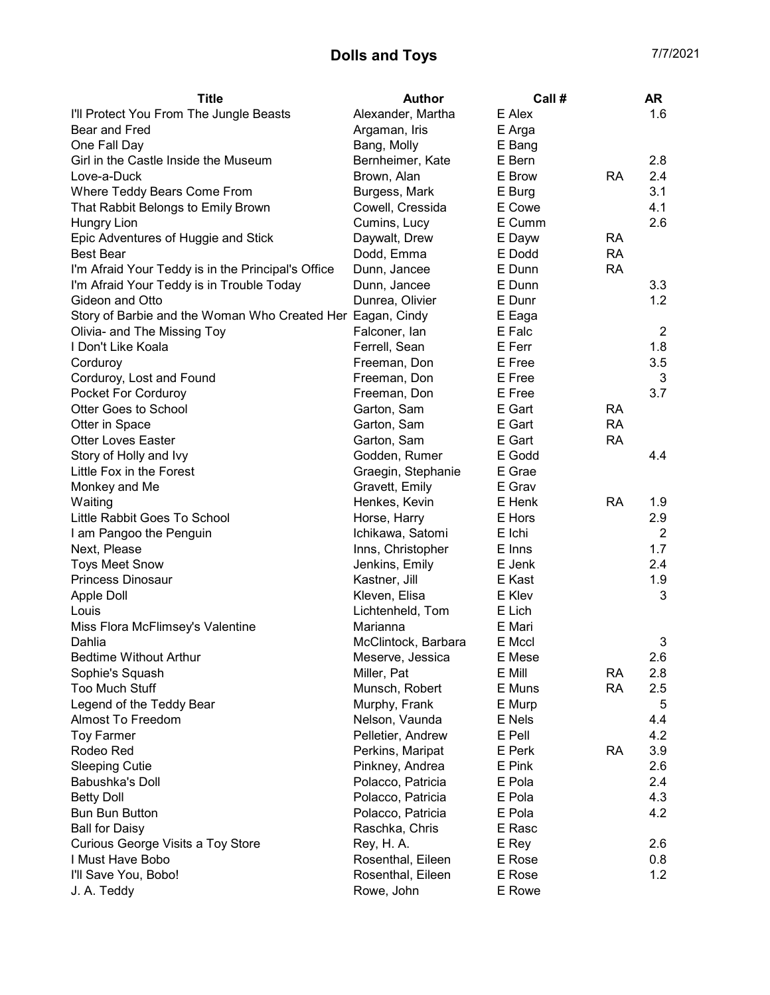## Dolls and Toys **17/2021**

| <b>Title</b>                                               | Author              | Call # |           | <b>AR</b>      |
|------------------------------------------------------------|---------------------|--------|-----------|----------------|
| I'll Protect You From The Jungle Beasts                    | Alexander, Martha   | E Alex |           | 1.6            |
| Bear and Fred                                              | Argaman, Iris       | E Arga |           |                |
| One Fall Day                                               | Bang, Molly         | E Bang |           |                |
| Girl in the Castle Inside the Museum                       | Bernheimer, Kate    | E Bern |           | 2.8            |
| Love-a-Duck                                                | Brown, Alan         | E Brow | <b>RA</b> | 2.4            |
| Where Teddy Bears Come From                                | Burgess, Mark       | E Burg |           | 3.1            |
| That Rabbit Belongs to Emily Brown                         | Cowell, Cressida    | E Cowe |           | 4.1            |
| Hungry Lion                                                | Cumins, Lucy        | E Cumm |           | 2.6            |
| Epic Adventures of Huggie and Stick                        | Daywalt, Drew       | E Dayw | <b>RA</b> |                |
| <b>Best Bear</b>                                           | Dodd, Emma          | E Dodd | <b>RA</b> |                |
| I'm Afraid Your Teddy is in the Principal's Office         | Dunn, Jancee        | E Dunn | <b>RA</b> |                |
| I'm Afraid Your Teddy is in Trouble Today                  | Dunn, Jancee        | E Dunn |           | 3.3            |
| Gideon and Otto                                            | Dunrea, Olivier     | E Dunr |           | 1.2            |
| Story of Barbie and the Woman Who Created Her Eagan, Cindy |                     | E Eaga |           |                |
| Olivia- and The Missing Toy                                | Falconer, lan       | E Falc |           | $\overline{2}$ |
| I Don't Like Koala                                         | Ferrell, Sean       | E Ferr |           | 1.8            |
| Corduroy                                                   | Freeman, Don        | E Free |           | 3.5            |
| Corduroy, Lost and Found                                   | Freeman, Don        | E Free |           | 3              |
| Pocket For Corduroy                                        | Freeman, Don        | E Free |           | 3.7            |
| <b>Otter Goes to School</b>                                | Garton, Sam         | E Gart | <b>RA</b> |                |
| Otter in Space                                             | Garton, Sam         | E Gart | <b>RA</b> |                |
| <b>Otter Loves Easter</b>                                  | Garton, Sam         | E Gart | <b>RA</b> |                |
| Story of Holly and Ivy                                     | Godden, Rumer       | E Godd |           | 4.4            |
| Little Fox in the Forest                                   | Graegin, Stephanie  | E Grae |           |                |
| Monkey and Me                                              | Gravett, Emily      | E Grav |           |                |
| Waiting                                                    | Henkes, Kevin       | E Henk | <b>RA</b> | 1.9            |
| Little Rabbit Goes To School                               | Horse, Harry        | E Hors |           | 2.9            |
| I am Pangoo the Penguin                                    | Ichikawa, Satomi    | E Ichi |           | $\overline{2}$ |
| Next, Please                                               | Inns, Christopher   | E Inns |           | 1.7            |
| <b>Toys Meet Snow</b>                                      | Jenkins, Emily      | E Jenk |           | 2.4            |
| <b>Princess Dinosaur</b>                                   | Kastner, Jill       | E Kast |           | 1.9            |
| <b>Apple Doll</b>                                          | Kleven, Elisa       | E Klev |           | 3              |
| Louis                                                      | Lichtenheld, Tom    | E Lich |           |                |
| Miss Flora McFlimsey's Valentine                           | Marianna            | E Mari |           |                |
| Dahlia                                                     | McClintock, Barbara | E Mccl |           | 3              |
| <b>Bedtime Without Arthur</b>                              | Meserve, Jessica    | E Mese |           | 2.6            |
| Sophie's Squash                                            | Miller, Pat         | E Mill | <b>RA</b> | 2.8            |
| <b>Too Much Stuff</b>                                      | Munsch, Robert      | E Muns | <b>RA</b> | 2.5            |
| Legend of the Teddy Bear                                   | Murphy, Frank       | E Murp |           | 5              |
| Almost To Freedom                                          | Nelson, Vaunda      | E Nels |           | 4.4            |
| <b>Toy Farmer</b>                                          | Pelletier, Andrew   | E Pell |           | 4.2            |
| Rodeo Red                                                  | Perkins, Maripat    | E Perk | <b>RA</b> | 3.9            |
| <b>Sleeping Cutie</b>                                      | Pinkney, Andrea     | E Pink |           | 2.6            |
| Babushka's Doll                                            | Polacco, Patricia   | E Pola |           | 2.4            |
| <b>Betty Doll</b>                                          | Polacco, Patricia   | E Pola |           | 4.3            |
| <b>Bun Bun Button</b>                                      | Polacco, Patricia   | E Pola |           | 4.2            |
| <b>Ball for Daisy</b>                                      | Raschka, Chris      | E Rasc |           |                |
| Curious George Visits a Toy Store                          | Rey, H. A.          | E Rey  |           | 2.6            |
| I Must Have Bobo                                           | Rosenthal, Eileen   | E Rose |           | 0.8            |
| I'll Save You, Bobo!                                       | Rosenthal, Eileen   | E Rose |           | 1.2            |
| J. A. Teddy                                                | Rowe, John          | E Rowe |           |                |
|                                                            |                     |        |           |                |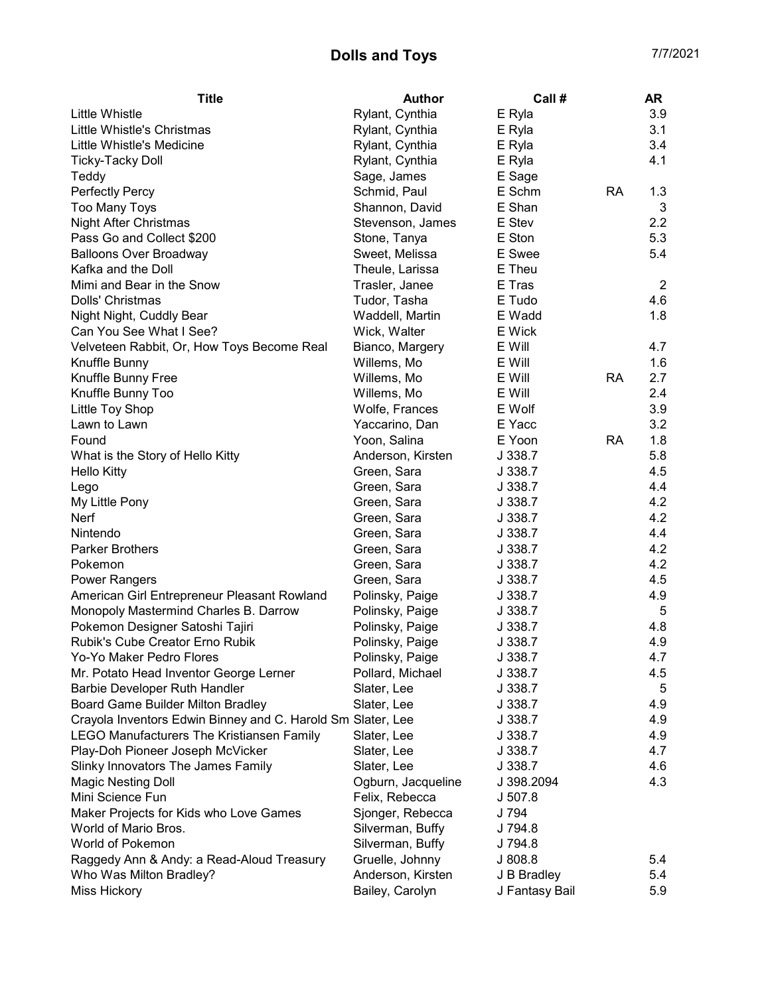## Dolls and Toys **17/2021**

| <b>Title</b>                                                 | Author             | Call #             |           | AR             |
|--------------------------------------------------------------|--------------------|--------------------|-----------|----------------|
| Little Whistle                                               | Rylant, Cynthia    | E Ryla             |           | 3.9            |
| Little Whistle's Christmas                                   | Rylant, Cynthia    | E Ryla             |           | 3.1            |
| Little Whistle's Medicine                                    | Rylant, Cynthia    | E Ryla             |           | 3.4            |
| <b>Ticky-Tacky Doll</b>                                      | Rylant, Cynthia    | E Ryla             |           | 4.1            |
| Teddy                                                        | Sage, James        | E Sage             |           |                |
| Perfectly Percy                                              | Schmid, Paul       | E Schm             | <b>RA</b> | 1.3            |
| <b>Too Many Toys</b>                                         | Shannon, David     | E Shan             |           | 3              |
| Night After Christmas                                        | Stevenson, James   | E Stev             |           | 2.2            |
| Pass Go and Collect \$200                                    | Stone, Tanya       | E Ston             |           | 5.3            |
| <b>Balloons Over Broadway</b>                                | Sweet, Melissa     | E Swee             |           | 5.4            |
| Kafka and the Doll                                           | Theule, Larissa    | E Theu             |           |                |
| Mimi and Bear in the Snow                                    | Trasler, Janee     | E Tras             |           | $\overline{2}$ |
| Dolls' Christmas                                             | Tudor, Tasha       | E Tudo             |           | 4.6            |
| Night Night, Cuddly Bear                                     | Waddell, Martin    | E Wadd             |           | 1.8            |
| Can You See What I See?                                      | Wick, Walter       | E Wick             |           |                |
| Velveteen Rabbit, Or, How Toys Become Real                   | Bianco, Margery    | E Will             |           | 4.7            |
| Knuffle Bunny                                                | Willems, Mo        | E Will             |           | 1.6            |
| Knuffle Bunny Free                                           | Willems, Mo        | E Will             | <b>RA</b> | 2.7            |
| Knuffle Bunny Too                                            | Willems, Mo        | E Will             |           | 2.4            |
| Little Toy Shop                                              | Wolfe, Frances     | E Wolf             |           | 3.9            |
| Lawn to Lawn                                                 | Yaccarino, Dan     | E Yacc             |           | 3.2            |
| Found                                                        | Yoon, Salina       | E Yoon             | <b>RA</b> | 1.8            |
| What is the Story of Hello Kitty                             | Anderson, Kirsten  | J 338.7            |           | 5.8            |
| <b>Hello Kitty</b>                                           | Green, Sara        | J 338.7            |           | 4.5            |
| Lego                                                         | Green, Sara        | J 338.7            |           | 4.4            |
| My Little Pony                                               | Green, Sara        | J 338.7            |           | 4.2            |
| Nerf                                                         | Green, Sara        | J 338.7            |           | 4.2            |
| Nintendo                                                     | Green, Sara        | J 338.7            |           | 4.4            |
| <b>Parker Brothers</b>                                       | Green, Sara        | J 338.7            |           | 4.2            |
| Pokemon                                                      | Green, Sara        | J 338.7            |           | 4.2            |
| <b>Power Rangers</b>                                         | Green, Sara        | J 338.7            |           | 4.5            |
| American Girl Entrepreneur Pleasant Rowland                  | Polinsky, Paige    | J 338.7            |           | 4.9            |
| Monopoly Mastermind Charles B. Darrow                        | Polinsky, Paige    | J 338.7            |           | 5              |
| Pokemon Designer Satoshi Tajiri                              | Polinsky, Paige    | J 338.7            |           | 4.8            |
| Rubik's Cube Creator Erno Rubik                              | Polinsky, Paige    | J 338.7            |           | 4.9            |
| Yo-Yo Maker Pedro Flores                                     | Polinsky, Paige    | J 338.7            |           | 4.7            |
| Mr. Potato Head Inventor George Lerner                       | Pollard, Michael   | J 338.7            |           | 4.5            |
| Barbie Developer Ruth Handler                                | Slater, Lee        | J 338.7            |           | 5              |
| Board Game Builder Milton Bradley                            | Slater, Lee        | J 338.7            |           | 4.9            |
| Crayola Inventors Edwin Binney and C. Harold Smi Slater, Lee |                    | J 338.7            |           | 4.9            |
| <b>LEGO Manufacturers The Kristiansen Family</b>             | Slater, Lee        | J 338.7            |           | 4.9            |
| Play-Doh Pioneer Joseph McVicker                             | Slater, Lee        | J 338.7            |           | 4.7            |
| Slinky Innovators The James Family                           | Slater, Lee        | J 338.7            |           | 4.6            |
| <b>Magic Nesting Doll</b>                                    | Ogburn, Jacqueline | J 398.2094         |           | 4.3            |
| Mini Science Fun                                             | Felix, Rebecca     | J 507.8            |           |                |
| Maker Projects for Kids who Love Games                       | Sjonger, Rebecca   | J 794              |           |                |
| World of Mario Bros.                                         |                    |                    |           |                |
| World of Pokemon                                             | Silverman, Buffy   | J 794.8<br>J 794.8 |           |                |
|                                                              | Silverman, Buffy   | J 808.8            |           | 5.4            |
| Raggedy Ann & Andy: a Read-Aloud Treasury                    | Gruelle, Johnny    |                    |           | 5.4            |
| Who Was Milton Bradley?                                      | Anderson, Kirsten  | J B Bradley        |           |                |
| Miss Hickory                                                 | Bailey, Carolyn    | J Fantasy Bail     |           | 5.9            |